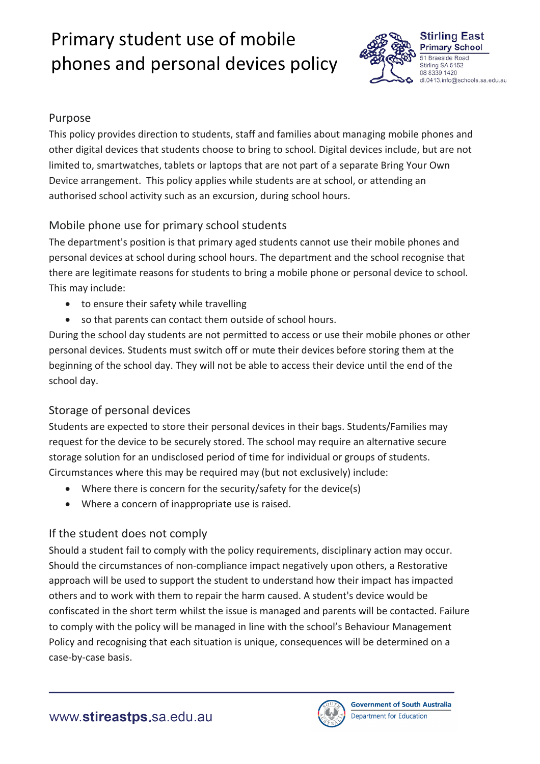# Primary student use of mobile phones and personal devices policy



## Purpose

This policy provides direction to students, staff and families about managing mobile phones and other digital devices that students choose to bring to school. Digital devices include, but are not limited to, smartwatches, tablets or laptops that are not part of a separate Bring Your Own Device arrangement. This policy applies while students are at school, or attending an authorised school activity such as an excursion, during school hours.

# Mobile phone use for primary school students

The department's position is that primary aged students cannot use their mobile phones and personal devices at school during school hours. The department and the school recognise that there are legitimate reasons for students to bring a mobile phone or personal device to school. This may include:

- to ensure their safety while travelling
- so that parents can contact them outside of school hours.

During the school day students are not permitted to access or use their mobile phones or other personal devices. Students must switch off or mute their devices before storing them at the beginning of the school day. They will not be able to access their device until the end of the school day.

# Storage of personal devices

Students are expected to store their personal devices in their bags. Students/Families may request for the device to be securely stored. The school may require an alternative secure storage solution for an undisclosed period of time for individual or groups of students. Circumstances where this may be required may (but not exclusively) include:

- Where there is concern for the security/safety for the device(s)
- Where a concern of inappropriate use is raised.

# If the student does not comply

Should a student fail to comply with the policy requirements, disciplinary action may occur. Should the circumstances of non-compliance impact negatively upon others, a Restorative approach will be used to support the student to understand how their impact has impacted others and to work with them to repair the harm caused. A student's device would be confiscated in the short term whilst the issue is managed and parents will be contacted. Failure to comply with the policy will be managed in line with the school's Behaviour Management Policy and recognising that each situation is unique, consequences will be determined on a case-by-case basis.

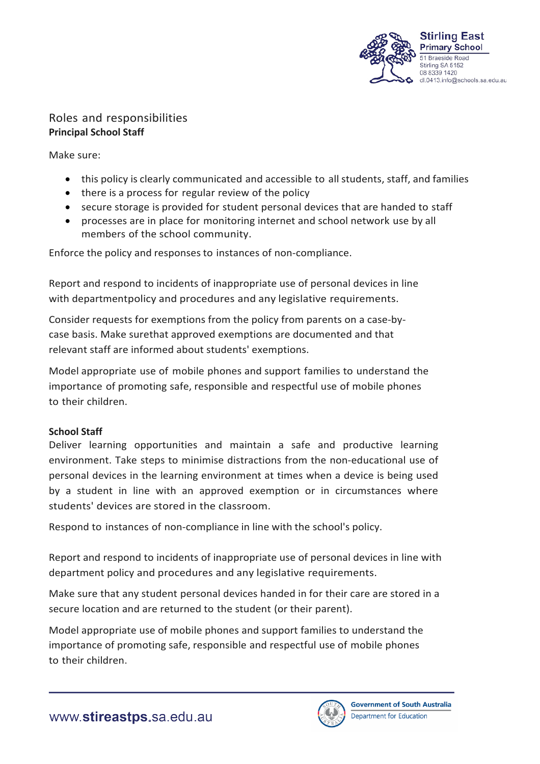

## Roles and responsibilities **Principal School Staff**

Make sure:

- this policy is clearly communicated and accessible to all students, staff, and families
- there is a process for regular review of the policy
- secure storage is provided for student personal devices that are handed to staff
- processes are in place for monitoring internet and school network use by all members of the school community.

Enforce the policy and responses to instances of non-compliance.

Report and respond to incidents of inappropriate use of personal devices in line with departmentpolicy and procedures and any legislative requirements.

Consider requests for exemptions from the policy from parents on a case-bycase basis. Make surethat approved exemptions are documented and that relevant staff are informed about students' exemptions.

Model appropriate use of mobile phones and support families to understand the importance of promoting safe, responsible and respectful use of mobile phones to their children.

### **School Staff**

Deliver learning opportunities and maintain a safe and productive learning environment. Take steps to minimise distractions from the non-educational use of personal devices in the learning environment at times when a device is being used by a student in line with an approved exemption or in circumstances where students' devices are stored in the classroom.

Respond to instances of non-compliance in line with the school's policy.

Report and respond to incidents of inappropriate use of personal devices in line with department policy and procedures and any legislative requirements.

Make sure that any student personal devices handed in for their care are stored in a secure location and are returned to the student (or their parent).

Model appropriate use of mobile phones and support families to understand the importance of promoting safe, responsible and respectful use of mobile phones to their children.